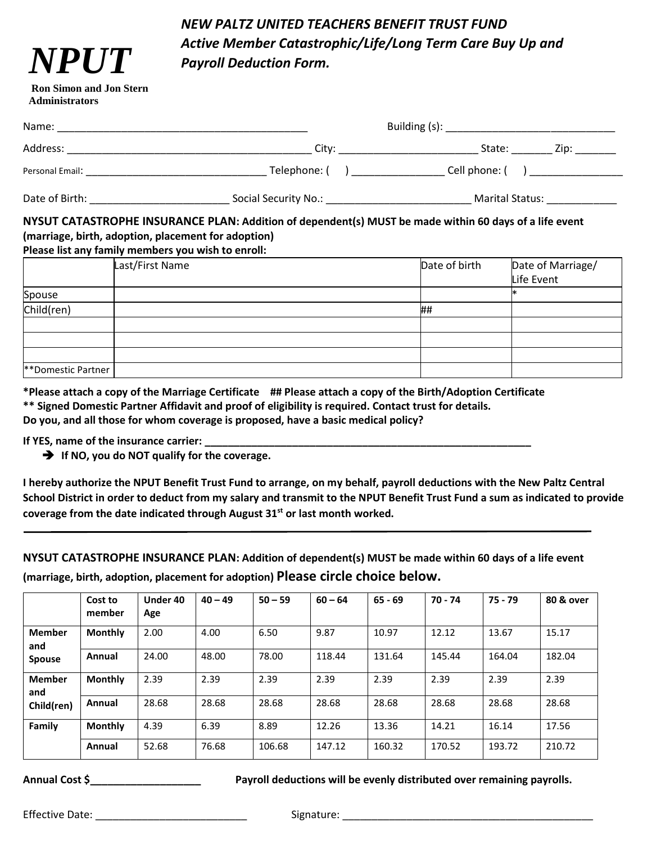# *NEW PALTZ UNITED TEACHERS BENEFIT TRUST FUND Active Member Catastrophic/Life/Long Term Care Buy Up and Payroll Deduction Form.*

#### **Ron Simon and Jon Stern Administrators**

*NPUT*

| Name:           |                      | Building (s): ________________________                          |  |  |
|-----------------|----------------------|-----------------------------------------------------------------|--|--|
| Address:        | City:                | State:<br>Zip:                                                  |  |  |
| Personal Email: | Telephone: (         | Cell phone: (<br><b>I</b> and the second contract of the second |  |  |
| Date of Birth:  | Social Security No.: | Marital Status:                                                 |  |  |

### **NYSUT CATASTROPHE INSURANCE PLAN: Addition of dependent(s) MUST be made within 60 days of a life event (marriage, birth, adoption, placement for adoption)**

#### **Please list any family members you wish to enroll:**

|                    | Last/First Name | Date of birth | Date of Marriage/<br>Life Event |
|--------------------|-----------------|---------------|---------------------------------|
| Spouse             |                 |               | ∗                               |
| Child(ren)         |                 | ##            |                                 |
|                    |                 |               |                                 |
|                    |                 |               |                                 |
|                    |                 |               |                                 |
| **Domestic Partner |                 |               |                                 |

**\*Please attach a copy of the Marriage Certificate ## Please attach a copy of the Birth/Adoption Certificate \*\* Signed Domestic Partner Affidavit and proof of eligibility is required. Contact trust for details. Do you, and all those for whom coverage is proposed, have a basic medical policy?**

#### **If YES, name of the insurance carrier:**

➔ **If NO, you do NOT qualify for the coverage.**

**I hereby authorize the NPUT Benefit Trust Fund to arrange, on my behalf, payroll deductions with the New Paltz Central School District in order to deduct from my salary and transmit to the NPUT Benefit Trust Fund a sum as indicated to provide coverage from the date indicated through August 31st or last month worked.**

**NYSUT CATASTROPHE INSURANCE PLAN: Addition of dependent(s) MUST be made within 60 days of a life event (marriage, birth, adoption, placement for adoption) Please circle choice below.**

|                      | Cost to<br>member | Under 40<br>Age | $40 - 49$ | $50 - 59$ | $60 - 64$ | $65 - 69$ | 70 - 74 | $75 - 79$ | 80 & over |
|----------------------|-------------------|-----------------|-----------|-----------|-----------|-----------|---------|-----------|-----------|
| <b>Member</b><br>and | <b>Monthly</b>    | 2.00            | 4.00      | 6.50      | 9.87      | 10.97     | 12.12   | 13.67     | 15.17     |
| <b>Spouse</b>        | Annual            | 24.00           | 48.00     | 78.00     | 118.44    | 131.64    | 145.44  | 164.04    | 182.04    |
| <b>Member</b><br>and | <b>Monthly</b>    | 2.39            | 2.39      | 2.39      | 2.39      | 2.39      | 2.39    | 2.39      | 2.39      |
| Child(ren)           | Annual            | 28.68           | 28.68     | 28.68     | 28.68     | 28.68     | 28.68   | 28.68     | 28.68     |
| Family               | <b>Monthly</b>    | 4.39            | 6.39      | 8.89      | 12.26     | 13.36     | 14.21   | 16.14     | 17.56     |
|                      | Annual            | 52.68           | 76.68     | 106.68    | 147.12    | 160.32    | 170.52  | 193.72    | 210.72    |

**Annual Cost \$\_\_\_\_\_\_\_\_\_\_\_\_\_\_\_\_\_\_\_ Payroll deductions will be evenly distributed over remaining payrolls.**

Effective Date: \_\_\_\_\_\_\_\_\_\_\_\_\_\_\_\_\_\_\_\_\_\_\_\_\_\_ Signature: \_\_\_\_\_\_\_\_\_\_\_\_\_\_\_\_\_\_\_\_\_\_\_\_\_\_\_\_\_\_\_\_\_\_\_\_\_\_\_\_\_\_\_